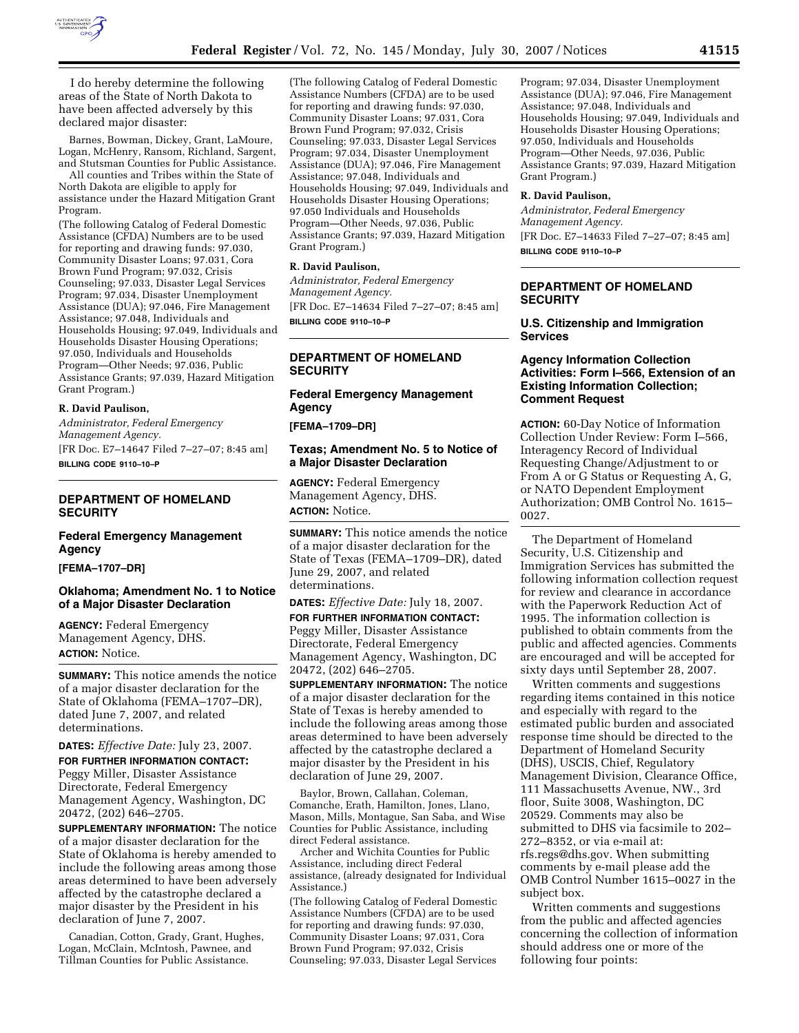

I do hereby determine the following areas of the State of North Dakota to have been affected adversely by this declared major disaster:

Barnes, Bowman, Dickey, Grant, LaMoure, Logan, McHenry, Ransom, Richland, Sargent, and Stutsman Counties for Public Assistance.

All counties and Tribes within the State of North Dakota are eligible to apply for assistance under the Hazard Mitigation Grant Program.

(The following Catalog of Federal Domestic Assistance (CFDA) Numbers are to be used for reporting and drawing funds: 97.030, Community Disaster Loans; 97.031, Cora Brown Fund Program; 97.032, Crisis Counseling; 97.033, Disaster Legal Services Program; 97.034, Disaster Unemployment Assistance (DUA); 97.046, Fire Management Assistance; 97.048, Individuals and Households Housing; 97.049, Individuals and Households Disaster Housing Operations; 97.050, Individuals and Households Program—Other Needs; 97.036, Public Assistance Grants; 97.039, Hazard Mitigation Grant Program.)

## **R. David Paulison,**

*Administrator, Federal Emergency Management Agency.*  [FR Doc. E7–14647 Filed 7–27–07; 8:45 am] **BILLING CODE 9110–10–P** 

## **DEPARTMENT OF HOMELAND SECURITY**

## **Federal Emergency Management Agency**

**[FEMA–1707–DR]** 

## **Oklahoma; Amendment No. 1 to Notice of a Major Disaster Declaration**

**AGENCY:** Federal Emergency Management Agency, DHS. **ACTION:** Notice.

**SUMMARY:** This notice amends the notice of a major disaster declaration for the State of Oklahoma (FEMA–1707–DR), dated June 7, 2007, and related determinations.

**DATES:** *Effective Date:* July 23, 2007.

**FOR FURTHER INFORMATION CONTACT:**  Peggy Miller, Disaster Assistance Directorate, Federal Emergency Management Agency, Washington, DC 20472, (202) 646–2705.

**SUPPLEMENTARY INFORMATION:** The notice of a major disaster declaration for the State of Oklahoma is hereby amended to include the following areas among those areas determined to have been adversely affected by the catastrophe declared a major disaster by the President in his declaration of June 7, 2007.

Canadian, Cotton, Grady, Grant, Hughes, Logan, McClain, McIntosh, Pawnee, and Tillman Counties for Public Assistance.

(The following Catalog of Federal Domestic Assistance Numbers (CFDA) are to be used for reporting and drawing funds: 97.030, Community Disaster Loans; 97.031, Cora Brown Fund Program; 97.032, Crisis Counseling; 97.033, Disaster Legal Services Program; 97.034, Disaster Unemployment Assistance (DUA); 97.046, Fire Management Assistance; 97.048, Individuals and Households Housing; 97.049, Individuals and Households Disaster Housing Operations; 97.050 Individuals and Households Program—Other Needs, 97.036, Public Assistance Grants; 97.039, Hazard Mitigation Grant Program.)

### **R. David Paulison,**

*Administrator, Federal Emergency Management Agency.*  [FR Doc. E7–14634 Filed 7–27–07; 8:45 am] **BILLING CODE 9110–10–P** 

## **DEPARTMENT OF HOMELAND SECURITY**

## **Federal Emergency Management Agency**

**[FEMA–1709–DR]** 

### **Texas; Amendment No. 5 to Notice of a Major Disaster Declaration**

**AGENCY:** Federal Emergency Management Agency, DHS. **ACTION:** Notice.

**SUMMARY:** This notice amends the notice of a major disaster declaration for the State of Texas (FEMA–1709–DR), dated June 29, 2007, and related determinations.

## **DATES:** *Effective Date:* July 18, 2007.

**FOR FURTHER INFORMATION CONTACT:**  Peggy Miller, Disaster Assistance Directorate, Federal Emergency Management Agency, Washington, DC 20472, (202) 646–2705.

**SUPPLEMENTARY INFORMATION:** The notice of a major disaster declaration for the State of Texas is hereby amended to include the following areas among those areas determined to have been adversely affected by the catastrophe declared a major disaster by the President in his declaration of June 29, 2007.

Baylor, Brown, Callahan, Coleman, Comanche, Erath, Hamilton, Jones, Llano, Mason, Mills, Montague, San Saba, and Wise Counties for Public Assistance, including direct Federal assistance.

Archer and Wichita Counties for Public Assistance, including direct Federal assistance, (already designated for Individual Assistance.)

(The following Catalog of Federal Domestic Assistance Numbers (CFDA) are to be used for reporting and drawing funds: 97.030, Community Disaster Loans; 97.031, Cora Brown Fund Program; 97.032, Crisis Counseling; 97.033, Disaster Legal Services

Program; 97.034, Disaster Unemployment Assistance (DUA); 97.046, Fire Management Assistance; 97.048, Individuals and Households Housing; 97.049, Individuals and Households Disaster Housing Operations; 97.050, Individuals and Households Program—Other Needs, 97.036, Public Assistance Grants; 97.039, Hazard Mitigation Grant Program.)

### **R. David Paulison,**

*Administrator, Federal Emergency Management Agency.*  [FR Doc. E7–14633 Filed 7–27–07; 8:45 am] **BILLING CODE 9110–10–P** 

## **DEPARTMENT OF HOMELAND SECURITY**

## **U.S. Citizenship and Immigration Services**

### **Agency Information Collection Activities: Form I–566, Extension of an Existing Information Collection; Comment Request**

**ACTION:** 60-Day Notice of Information Collection Under Review: Form I–566, Interagency Record of Individual Requesting Change/Adjustment to or From A or G Status or Requesting A, G, or NATO Dependent Employment Authorization; OMB Control No. 1615– 0027.

The Department of Homeland Security, U.S. Citizenship and Immigration Services has submitted the following information collection request for review and clearance in accordance with the Paperwork Reduction Act of 1995. The information collection is published to obtain comments from the public and affected agencies. Comments are encouraged and will be accepted for sixty days until September 28, 2007.

Written comments and suggestions regarding items contained in this notice and especially with regard to the estimated public burden and associated response time should be directed to the Department of Homeland Security (DHS), USCIS, Chief, Regulatory Management Division, Clearance Office, 111 Massachusetts Avenue, NW., 3rd floor, Suite 3008, Washington, DC 20529. Comments may also be submitted to DHS via facsimile to 202– 272–8352, or via e-mail at: rfs.regs@dhs.gov. When submitting comments by e-mail please add the OMB Control Number 1615–0027 in the subject box.

Written comments and suggestions from the public and affected agencies concerning the collection of information should address one or more of the following four points: